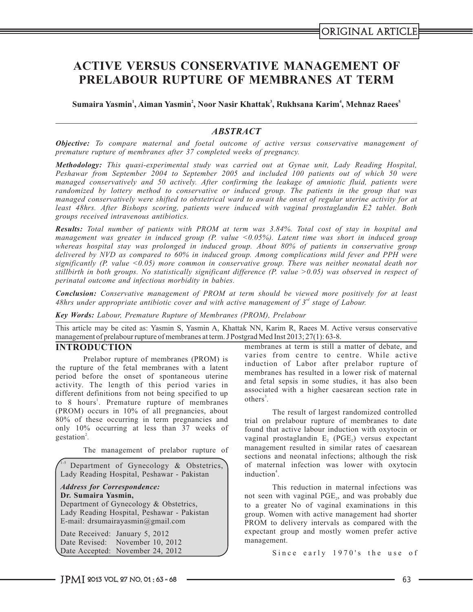# **ACTIVE VERSUS CONSERVATIVE MANAGEMENT OF PRELABOUR RUPTURE OF MEMBRANES AT TERM**

**1 2 3 4 5 Sumaira Yasmin , Aiman Yasmin , Noor Nasir Khattak , Rukhsana Karim , Mehnaz Raees**

### *ABSTRACT*

*Objective: To compare maternal and foetal outcome of active versus conservative management of premature rupture of membranes after 37 completed weeks of pregnancy.*

*Methodology: This quasi-experimental study was carried out at Gynae unit, Lady Reading Hospital, Peshawar from September 2004 to September 2005 and included 100 patients out of which 50 were managed conservatively and 50 actively. After confirming the leakage of amniotic fluid, patients were randomized by lottery method to conservative or induced group. The patients in the group that was managed conservatively were shifted to obstetrical ward to await the onset of regular uterine activity for at least 48hrs. After Bishops scoring, patients were induced with vaginal prostaglandin E2 tablet. Both groups received intravenous antibiotics.*

*Results: Total number of patients with PROM at term was 3.84%. Total cost of stay in hospital and management was greater in induced group (P. value <0.05%). Latent time was short in induced group whereas hospital stay was prolonged in induced group. About 80% of patients in conservative group delivered by NVD as compared to 60% in induced group. Among complications mild fever and PPH were significantly (P. value <0.05) more common in conservative group. There was neither neonatal death nor stillbirth in both groups. No statistically significant difference (P. value >0.05) was observed in respect of perinatal outcome and infectious morbidity in babies.*

*Conclusion: Conservative management of PROM at term should be viewed more positively for at least rd 48hrs under appropriate antibiotic cover and with active management of 3 stage of Labour.*

*Key Words: Labour, Premature Rupture of Membranes (PROM), Prelabour*

This article may be cited as: Yasmin S, Yasmin A, Khattak NN, Karim R, Raees M. Active versus conservative management of prelabour rupture of membranes at term. J Postgrad Med Inst 2013; 27(1): 63-8.

the rupture of the fetal membranes with a latent period before the onset of spontaneous uterine activity. The length of this period varies in associated with a higher caesarean section rate in different definitions from not being specified to up  $\frac{1}{\text{others}^3}$ to 8 hours<sup>1</sup>. Premature rupture of membranes others<sup>3</sup>. (PROM) occurs in 10% of all pregnancies, about The result of largest randomized controlled (ROM) of these occurring in term pregnancies and trial on prelabour rupture of membranes to date 80% of these occurring in term pregnancies and trial on prelabour rupture of membranes to date<br>only 10% occurring at less than 37 weeks of found that active labour induction with oxytocin or 2 .

1-5 Department of Gynecology & Obstetrics, Lady Reading Hospital, Peshawar - Pakistan

### *Address for Correspondence:*

**Dr. Sumaira Yasmin,**

Department of Gynecology & Obstetrics, Lady Reading Hospital, Peshawar - Pakistan E-mail: drsumairayasmin@gmail.com

Date Received: January 5, 2012 Date Revised: November 10, 2012 Date Accepted: November 24, 2012

**INTRODUCTION** membranes at term is still a matter of debate, and varies from centre to centre. While active Prelabor rupture of membranes (PROM) is<br>induction of Labor after prelabor rupture of membranes has resulted in a lower risk of maternal and fetal sepsis in some studies, it has also been

found that active labour induction with oxytocin or vaginal prostaglandin E,  $(PGE)$  versus expectant The management of prelabor rupture of management resulted in similar rates of caesarean sections and neonatal infections; although the risk of maternal infection was lower with oxytocin induction<sup>4</sup>.

> This reduction in maternal infections was not seen with vaginal PGE<sub>2</sub>, and was probably due to a greater No of vaginal examinations in this group. Women with active management had shorter PROM to delivery intervals as compared with the expectant group and mostly women prefer active management.

> > Since early 1970's the use of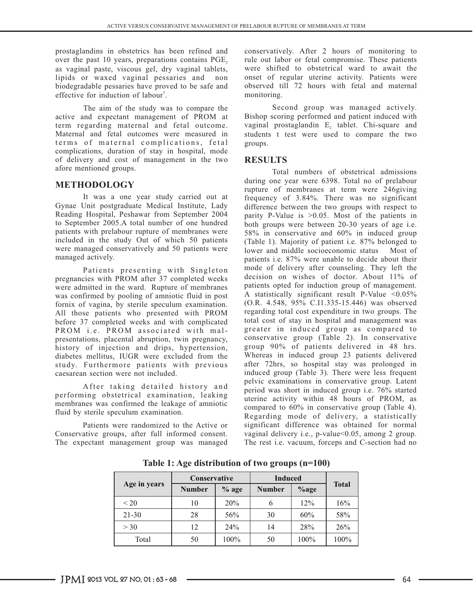prostaglandins in obstetrics has been refined and conservatively. After 2 hours of monitoring to over the past 10 years, preparations contains PGE, rule out labor or fetal compromise. These patients over the past 10 years, preparations contains  $PGE_2$  rule out labor or fetal compromise. These patients as vaginal paste, viscous gel, dry vaginal tablets, were shifted to obstetrical ward to await the as vaginal paste, viscous gel, dry vaginal tablets, lipids or waxed vaginal pessaries and non lipids or waxed vaginal pessaries and non onset of regular uterine activity. Patients were biodegradable pessaries have proved to be safe and observed till 72 hours with fetal and maternal effective for induction of labour<sup>5</sup>. monitoring.

active and expectant management of PROM at term regarding maternal and fetal outcome. vaginal prostaglandin  $E_2$  tablet. Chi-square and Maternal and fetal outcomes were measured in students t test were used to compare the two terms of maternal complications, fetal groups. complications, duration of stay in hospital, mode of delivery and cost of management in the two **RESULTS** afore mentioned groups.

It was a one year study carried out at frequency of 3.84%. There was no significant Gynae Unit postgraduate Medical Institute, Lady difference between the two groups with respect to Gynae Unit postgraduate Medical Institute, Lady difference between the two groups with respect to Reading Hospital, Peshawar from September 2004 parity P-Value is  $> 0.05$  Most of the patients in Reading Hospital, Peshawar from September 2004 parity P-Value is >0.05. Most of the patients in to September 2005. A total number of one hundred both groups were between 20-30 years of age i.e. to September 2005.A total number of one hundred both groups were between 20-30 years of age i.e.<br>patients with prelabour rupture of membranes were 58% in conservative and 60% in induced group patients with prelabour rupture of membranes were 58% in conservative and 60% in induced group<br>included in the study Out of which 50 patients (Table 1) Majority of patient i.e. 87% belonged to were managed conservatively and 50 patients were lower and middle socioeconomic status Most of managed actively.

pregnancies with PROM after 37 completed weeks were admitted in the ward. Rupture of membranes patients opted for induction group of management.<br>was confirmed by pooling of amniotic fluid in post A statistically significant result P-Value <0.05% was confirmed by pooling of amniotic fluid in post  $\alpha$  statistically significant result P-Value <0.05%  $\alpha$  fornix of vaginal by sterile speculum examination (O.R. 4.548, 95% C.I1.335-15.446) was observed fornix of vagina, by sterile speculum examination. (O.R. 4.548, 95% C.I1.335-15.446) was observed<br>All those natients who presented with PROM regarding total cost expenditure in two groups. The All those patients who presented with PROM regarding total cost expenditure in two groups. The lefore 37 completed weeks and with complicated total cost of stay in hospital and management was before 37 completed weeks and with complicated total cost of stay in hospital and management was<br>FROM i.e. FROM associated with mal-<br>greater in induced group as compared to PROM i.e. PROM associated with mal-<br>presentations, placental abruption, twin pregnancy, conservative group (Table 2). In conservative presentations, placental abruption, twin pregnancy, conservative group (Table 2). In conservative<br>history of injection and drips, hypertension, group 90% of patients delivered in 48 hrs. history of injection and drips, hypertension, group 90% of patients delivered in 48 hrs.<br>diabetes mellitus, IUGR were excluded from the Whereas in induced group 23 patients delivered diabetes mellitus, IUGR were excluded from the Whereas in induced group 23 patients delivered study. Furthermore patients with previous after 72hrs, so hospital stay was prolonged in study. Furthermore patients with previous caesarean section were not included.

After taking detailed history and performing obstetrical examination, leaking membranes was confirmed the leakage of amniotic<br>fluid by sterile speculum examination.

Conservative groups, after full informed consent. vaginal delivery i.e., p-value<0.05, among 2 group. The expectant management group was managed The rest i.e. vacuum, forceps and C-section had no

observed till 72 hours with fetal and maternal

The aim of the study was to compare the Second group was managed actively.<br>
Ind expectant management of PROM at Bishop scoring performed and patient induced with students t test were used to compare the two

Total numbers of obstetrical admissions **METHODOLOGY** during one year were 6398. Total no of prelabour during one year were 6398. Total no of prelabour rupture of membranes at term were 246giving (Table 1). Majority of patient i.e. 87% belonged to patients i.e. 87% were unable to decide about their Patients presenting with Singleton mode of delivery after counseling. They left the rises with PROM after 37 completed weeks decision on wishes of doctor. About 11% of induced group (Table 3). There were less frequent pelvic examinations in conservative group. Latent period was short in induced group i.e. 76% started uterine activity within 48 hours of PROM, as compared to  $60\%$  in conservative group (Table 4). Regarding mode of delivery, a statistically Patients were randomized to the Active or significant difference was obtained for normal

| Age in years | Conservative  |         | <b>Induced</b> |         |              |
|--------------|---------------|---------|----------------|---------|--------------|
|              | <b>Number</b> | $%$ age | <b>Number</b>  | $%$ age | <b>Total</b> |
| < 20         | 10            | 20%     | 6              | 12%     | 16%          |
| $21 - 30$    | 28            | 56%     | 30             | 60%     | 58%          |
| >30          | 12            | 24%     | 14             | 28%     | 26%          |
| Total        | 50            | 100%    | 50             | $100\%$ | 100%         |

**Table 1: Age distribution of two groups (n=100)**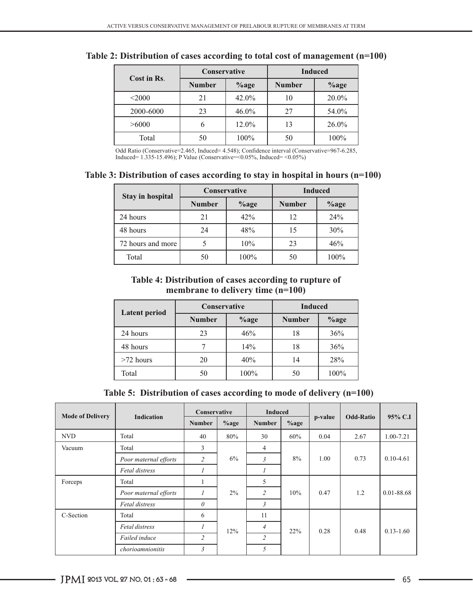|             | Conservative  |          | <b>Induced</b> |          |  |
|-------------|---------------|----------|----------------|----------|--|
| Cost in Rs. | <b>Number</b> | $\%$ age | <b>Number</b>  | $%$ age  |  |
| < 2000      | 21            | 42.0%    | 10             | $20.0\%$ |  |
| 2000-6000   | 23            | $46.0\%$ | 27             | 54.0%    |  |
| >6000       |               | 12.0%    | 13             | $26.0\%$ |  |
| Total       | 50            | 100%     | 50             | $100\%$  |  |

# **Table 2: Distribution of cases according to total cost of management (n=100)**

Odd Ratio (Conservative=2.465, Induced= 4.548); Confidence interval (Conservative=967-6.285, Induced= 1.335-15.496); P Value (Conservative=  $0.05\%$ , Induced=  $0.05\%$ )

### **Table 3: Distribution of cases according to stay in hospital in hours (n=100)**

| Stay in hospital  | Conservative             |      | <b>Induced</b> |         |  |
|-------------------|--------------------------|------|----------------|---------|--|
|                   | <b>Number</b><br>$%$ age |      | <b>Number</b>  | $%$ age |  |
| 24 hours          | 21                       | 42%  | 12             | 24%     |  |
| 48 hours          | 24                       | 48%  | 15             | $30\%$  |  |
| 72 hours and more |                          | 10%  | 23             | 46%     |  |
| Total             | 50                       | 100% | 50             | 100%    |  |

# **Table 4: Distribution of cases according to rupture of membrane to delivery time (n=100)**

| <b>Latent period</b> | <b>Conservative</b>      |      | <b>Induced</b>           |      |  |
|----------------------|--------------------------|------|--------------------------|------|--|
|                      | <b>Number</b><br>$%$ age |      | <b>Number</b><br>$%$ age |      |  |
| 24 hours             | 23                       | 46%  | 18                       | 36%  |  |
| 48 hours             |                          | 14%  | 18                       | 36%  |  |
| $>72$ hours          | 20                       | 40%  | 14                       | 28%  |  |
| Total                | 50                       | 100% | 50                       | 100% |  |

**Table 5: Distribution of cases according to mode of delivery (n=100)**

| <b>Mode of Delivery</b> |                       | Conservative       |         | <b>Induced</b> |         |         |                  |               |
|-------------------------|-----------------------|--------------------|---------|----------------|---------|---------|------------------|---------------|
|                         | <b>Indication</b>     | <b>Number</b>      | $%$ age | <b>Number</b>  | $%$ age | p-value | <b>Odd-Ratio</b> | 95% C.I       |
| <b>NVD</b>              | Total                 | 40                 | 80%     | 30             | 60%     | 0.04    | 2.67             | 1.00-7.21     |
| Vacuum                  | Total                 | 3                  |         | 4              |         |         |                  |               |
|                         | Poor maternal efforts | 2                  | 6%      | 3              | 8%      | 1.00    | 0.73             | $0.10 - 4.61$ |
|                         | Fetal distress        |                    |         | $\prime$       |         |         |                  |               |
| Forceps                 | Total                 | $\mathbf{I}$<br>л. |         | 5              |         |         |                  |               |
|                         | Poor maternal efforts | $\boldsymbol{l}$   | $2\%$   | 2              | 10%     | 0.47    | 1.2              | 0.01-88.68    |
|                         | <b>Fetal distress</b> | $\theta$           |         | 3              |         |         |                  |               |
| C-Section               | Total                 | 6                  |         | 11             |         |         |                  |               |
|                         | Fetal distress        | $\overline{I}$     | 12%     | $\overline{4}$ | 22%     | 0.28    | 0.48             | $0.13 - 1.60$ |
|                         | Failed induce         | $\overline{2}$     |         | $\overline{2}$ |         |         |                  |               |
|                         | chorioamnionitis      | 3                  |         | 5              |         |         |                  |               |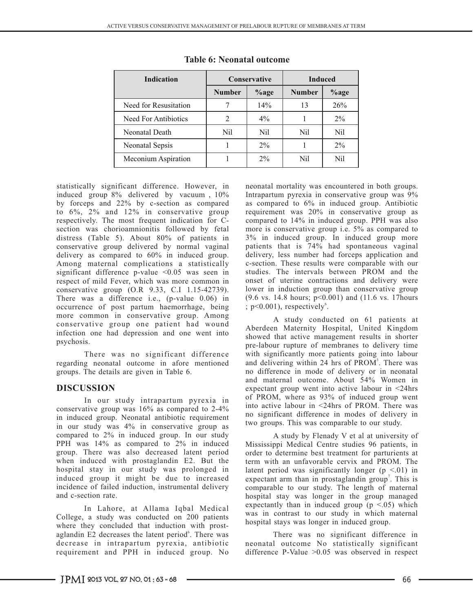| <b>Indication</b>     |               | <b>Conservative</b> | <b>Induced</b> |       |  |
|-----------------------|---------------|---------------------|----------------|-------|--|
|                       | <b>Number</b> | $\%$ age            | <b>Number</b>  | %age  |  |
| Need for Resusitation |               | 14%                 | 13             | 26%   |  |
| Need For Antibiotics  | 2             | $4\%$               |                | $2\%$ |  |
| Neonatal Death        | Nil           | Nil                 | Nil            | Nil   |  |
| Neonatal Sepsis       |               | $2\%$               |                | $2\%$ |  |
| Meconium Aspiration   |               | $2\%$               | Nil            | Nil   |  |

# **Table 6: Neonatal outcome**

induced group 8% delivered by vacuum, 10% Intrapartum pyrexia in conservative group was 9%<br>by forceps and 22% by c-section as compared as compared to 6% in induced group. Antibiotic by forceps and 22% by c-section as compared as compared to 6% in induced group. Antibiotic to 6%, 2% and 12% in conservative group requirement was 20% in conservative group as to 6%, 2% and 12% in conservative group requirement was 20% in conservative group as respectively. The most frequent indication for C- compared to 14% in induced group. PPH was also section was chorioamnionitis followed by fetal more is conservative group i.e. 5% as compared to section was chorioamnionitis followed by fetal distress (Table 5). About 80% of patients in 3% in induced group. In induced group more conservative group delivered by normal vaginal patients that is 74% had spontaneous vaginal conservative group delivered by normal vaginal patients that is 74% had spontaneous vaginal delivery as compared to 60% in induced group. delivery, less number had forceps application and delivery as compared to 60% in induced group. delivery, less number had forceps application and Among maternal complications a statistically c-section. These results were comparable with our Among maternal complications a statistically c-section. These results were comparable with our significant difference p-value <0.05 was seen in studies. The intervals between PROM and the significant difference p-value <0.05 was seen in studies. The intervals between PROM and the respect of mild Fever, which was more common in onset of uterine contractions and delivery were respect of mild Fever, which was more common in onset of uterine contractions and delivery were conservative group (O.R 9.33, C.I 1.15-42739). lower in induction group than conservative group conservative group (O.R 9.33, C.I 1.15-42739). lower in induction group than conservative group<br>There was a difference i.e., (p-value 0.06) in (9.6 vs. 14.8 hours;  $p<0.001$ ) and (11.6 vs. 17 hours There was a difference i.e., (p-value  $0.06$ ) in occurrence of post partum haemorrhage, being more common in conservative group. Among<br>
conservative group one patient had wound<br>
A study conducted on 61 patients at infection one had depression and one went into psychosis.

regarding neonatal outcome in afore mentioned and delivering within 24 hrs of PROM<sup>3</sup>. There was groups. The details are given in Table 6. no difference in mode of delivery or in neonatal

conservative group was  $16\%$  as compared to  $2-4\%$  into active labour in  $\leq$  24hrs of PROM. There was conservative group and the server of the server of the server of the server of the server of the server of the serv in induced group. Neonatal antibiotic requirement in our study was 4% in conservative group as compared to 2% in induced group. In our study <br>
A study by Flenady V et al at university of<br>
PPH was 14% as compared to 2% in induced Mississippi Medical Centre studies 96 patients, in group. There was also decreased latent period order to determine best treatment for parturients at when induced with prostaglandin E2. But the term with an unfavorable cervix and PROM. The hospital stay in our study was prolonged in latent period was significantly longer  $(p \le 0.01)$  in hospital stay in our study was prolonged in latent period was significantly longer  $(p < .01)$  in induced group it might be due to increased expectant arm than in prostaglandin group'. This is induced group it might be due to increased expectant arm than in prostaglandin group<sup>7</sup>. This is incidence of failed induction, instrumental delivery comparable to our study. The length of maternal and c-section rate.

College, a study was conducted on 200 patients<br>where they concluded that induction with prost-<br>aglandin E2 decreases the latent period. There was the state was no significant difference in aglandin E2 decreases the latent period<sup>6</sup>. There was There was no significant difference in decrease in intrapartum pyrexia, antibiotic neonatal outcome No statistically significant requirement and PPH in induced group. No difference P-Value >0.05 was observed in respect

statistically significant difference. However, in neonatal mortality was encountered in both groups.  $p < 0.001$ , respectively<sup>6</sup>.

Aberdeen Maternity Hospital, United Kingdom showed that active management results in shorter pre-labour rupture of membranes to delivery time There was no significant difference with significantly more patients going into labour and maternal outcome. About 54% Women in **DISCUSSION** expectant group went into active labour in <24hrs In our study intrapartum pyrexia in of PROM, where as 93% of induced group went<br>tive group wes 16% as someoned to 2.4% into active labour in <24hrs of PROM. There was two groups. This was comparable to our study.

Mississippi Medical Centre studies 96 patients, in hospital stay was longer in the group managed In Lahore, at Allama Iqbal Medical expectantly than in induced group  $(p \le 0.05)$  which  $p \le 0.05$  which maternal

difference P-Value  $>0.05$  was observed in respect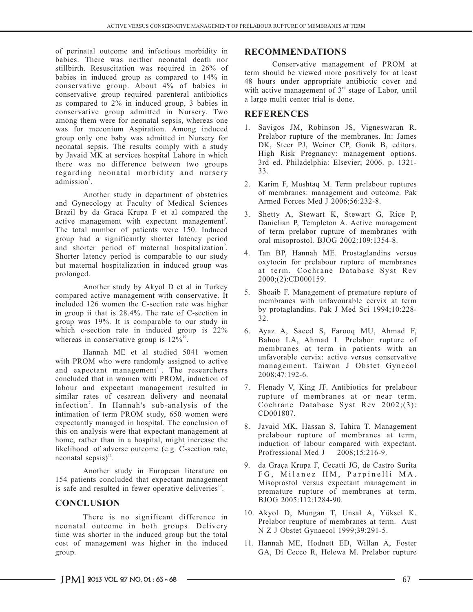of perinatal outcome and infectious morbidity in **RECOMMENDATIONS** babies. There was neither neonatal death nor stillbirth. Resuscitation was required in 26% of babies in induced group as compared to  $14\%$  in  $48$  hours under appropriate antibiotic cover and conservative group. About  $4\%$  of babies in conservative group required parenteral antibiotics as compared to 2% in induced group, 3 babies in conservative group admitted in Nursery. Two **REFERENCES** among them were for neonatal sepsis, whereas one was for meconium Aspiration. Among induced group only one baby was admitted in Nursery for neonatal sepsis. The results comply with a study by Javaid MK at services hospital Lahore in which there was no difference between two groups regarding neonatal morbidity and nursery admission<sup>8</sup>.

Another study in department of obstetrics and Gynecology at Faculty of Medical Sciences Brazil by da Graca Krupa F et al compared the active management with expectant management<sup>9</sup>. The total number of patients were 150. Induced group had a significantly shorter latency period and shorter period of maternal hospitalization<sup>9</sup>. Shorter latency period is comparable to our study but maternal hospitalization in induced group was prolonged.

Another study by Akyol D et al in Turkey compared active management with conservative. It included 126 women the C-section rate was higher in group ii that is 28.4%. The rate of C-section in group was 19%. It is comparable to our study in which c-section rate in induced group is  $22\%$ whereas in conservative group is  $12\%$ <sup>10</sup>.

Hannah ME et al studied 5041 women with PROM who were randomly assigned to active and expectant management<sup>11</sup>. The researchers concluded that in women with PROM, induction of labour and expectant management resulted in similar rates of cesarean delivery and neonatal infection<sup>7</sup>. In Hannah's sub-analysis of the intimation of term PROM study, 650 women were expectantly managed in hospital. The conclusion of this on analysis were that expectant management at home, rather than in a hospital, might increase the likelihood of adverse outcome (e.g. C-section rate, neonatal sepsis) $\mathbf{1}$ .

Another study in European literature on 154 patients concluded that expectant management is safe and resulted in fewer operative deliveries<sup>12</sup>.

### **CONCLUSION**

There is no significant difference in neonatal outcome in both groups. Delivery time was shorter in the induced group but the total cost of management was higher in the induced group.

Conservative management of PROM at<br>term should be viewed more positively for at least with active management of  $3<sup>rd</sup>$  stage of Labor, until a large multi center trial is done.

- 1. Savigos JM, Robinson JS, Vigneswaran R. Prelabor rupture of the membranes. In: James DK, Steer PJ, Weiner CP, Gonik B, editors. High Risk Pregnancy: management options. 3rd ed. Philadelphia: Elsevier; 2006. p. 1321- 33.
- 2. Karim F, Mushtaq M. Term prelabour ruptures of membranes: management and outcome. Pak Armed Forces Med J 2006;56:232-8.
- 3. Shetty A, Stewart K, Stewart G, Rice P, Danielian P, Templeton A. Active management of term prelabor rupture of membranes with oral misoprostol. BJOG 2002:109:1354-8.
- 4. Tan BP, Hannah ME. Prostaglandins versus oxytocin for prelabour rupture of membranes at term. Cochrane Database Syst Rev 2000;(2):CD000159.
- 5. Shoaib F. Management of premature repture of membranes with unfavourable cervix at term by protaglandins. Pak J Med Sci 1994;10:228- 32.
- 6. Ayaz A, Saeed S, Farooq MU, Ahmad F, Bahoo LA, Ahmad I. Prelabor rupture of membranes at term in patients with an unfavorable cervix: active versus conservative management. Taiwan J Obstet Gynecol 2008;47:192-6.
- 7. Flenady V, King JF. Antibiotics for prelabour rupture of membranes at or near term. Cochrane Database Syst Rev 2002;(3): CD001807.
- 8. Javaid MK, Hassan S, Tahira T. Management prelabour rupture of membranes at term, induction of labour compared with expectant.<br>Profressional Med J 2008:15:216-9. Profressional Med J
- 9. da Graça Krupa F, Cecatti JG, de Castro Surita FG, Milanez HM, Parpinelli MA. Misoprostol versus expectant management in premature rupture of membranes at term. BJOG 2005:112:1284-90.
- 10. Akyol D, Mungan T, Unsal A, Yüksel K. Prelabor reupture of membranes at term. Aust N Z J Obstet Gynaecol 1999;39:291-5.
- 11. Hannah ME, Hodnett ED, Willan A, Foster GA, Di Cecco R, Helewa M. Prelabor rupture